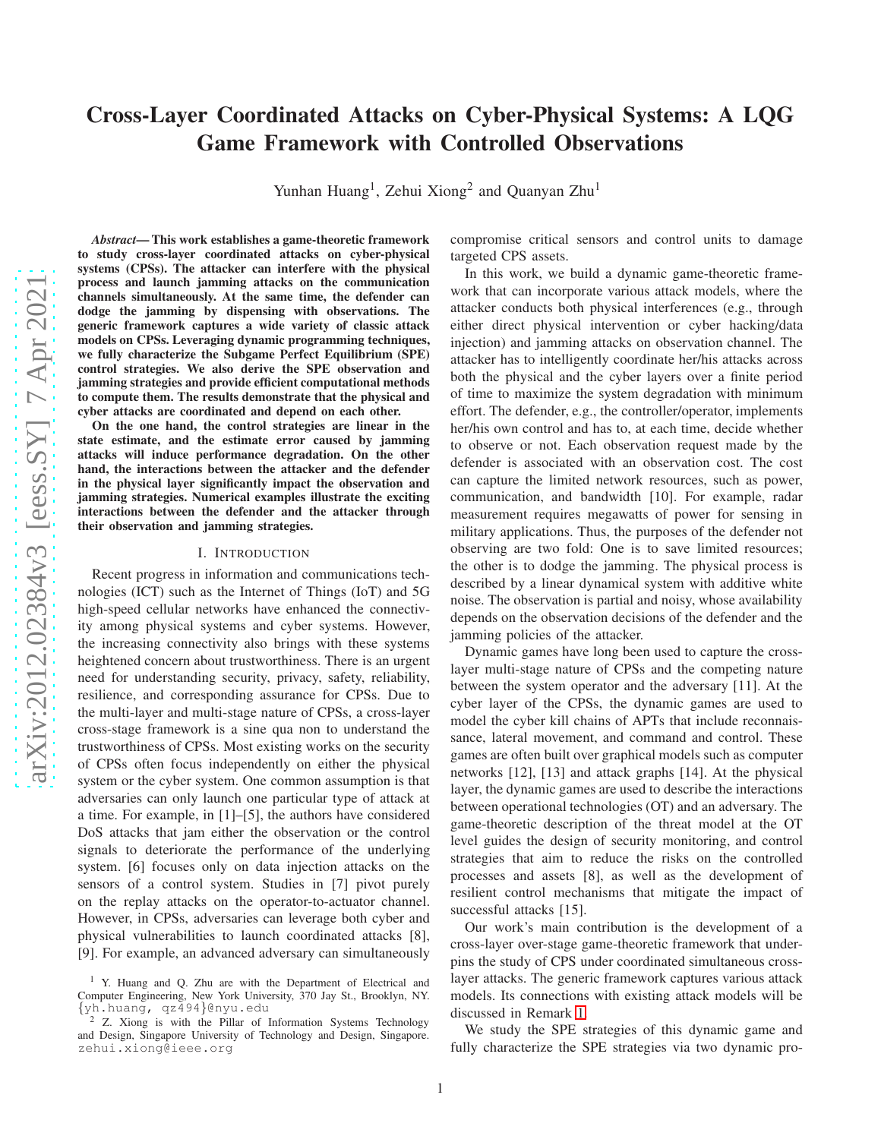# Cross-Layer Coordinated Attacks on Cyber-Physical Systems: A LQG Game Framework with Controlled Observations

Yunhan Huang<sup>1</sup>, Zehui Xiong<sup>2</sup> and Quanyan Zhu<sup>1</sup>

*Abstract*— This work establishes a game-theoretic framework to study cross-layer coordinated attacks on cyber-physical systems (CPSs). The attacker can interfere with the physical process and launch jamming attacks on the communication channels simultaneously. At the same time, the defender can dodge the jamming by dispensing with observations. The generic framework captures a wide variety of classic attack models on CPSs. Leveraging dynamic programming techniques, we fully characterize the Subgame Perfect Equilibrium (SPE) control strategies. We also derive the SPE observation and jamming strategies and provide efficient computational methods to compute them. The results demonstrate that the physical and cyber attacks are coordinated and depend on each other.

On the one hand, the control strategies are linear in the state estimate, and the estimate error caused by jamming attacks will induce performance degradation. On the other hand, the interactions between the attacker and the defender in the physical layer significantly impact the observation and jamming strategies. Numerical examples illustrate the exciting interactions between the defender and the attacker through their observation and jamming strategies.

#### I. INTRODUCTION

Recent progress in information and communications technologies (ICT) such as the Internet of Things (IoT) and 5G high-speed cellular networks have enhanced the connectivity among physical systems and cyber systems. However, the increasing connectivity also brings with these systems heightened concern about trustworthiness. There is an urgent need for understanding security, privacy, safety, reliability, resilience, and corresponding assurance for CPSs. Due to the multi-layer and multi-stage nature of CPSs, a cross-layer cross-stage framework is a sine qua non to understand the trustworthiness of CPSs. Most existing works on the security of CPSs often focus independently on either the physical system or the cyber system. One common assumption is that adversaries can only launch one particular type of attack at a time. For example, in [1]–[5], the authors have considered DoS attacks that jam either the observation or the control signals to deteriorate the performance of the underlying system. [6] focuses only on data injection attacks on the sensors of a control system. Studies in [7] pivot purely on the replay attacks on the operator-to-actuator channel. However, in CPSs, adversaries can leverage both cyber and physical vulnerabilities to launch coordinated attacks [8], [9]. For example, an advanced adversary can simultaneously

compromise critical sensors and control units to damage targeted CPS assets.

In this work, we build a dynamic game-theoretic framework that can incorporate various attack models, where the attacker conducts both physical interferences (e.g., through either direct physical intervention or cyber hacking/data injection) and jamming attacks on observation channel. The attacker has to intelligently coordinate her/his attacks across both the physical and the cyber layers over a finite period of time to maximize the system degradation with minimum effort. The defender, e.g., the controller/operator, implements her/his own control and has to, at each time, decide whether to observe or not. Each observation request made by the defender is associated with an observation cost. The cost can capture the limited network resources, such as power, communication, and bandwidth [10]. For example, radar measurement requires megawatts of power for sensing in military applications. Thus, the purposes of the defender not observing are two fold: One is to save limited resources; the other is to dodge the jamming. The physical process is described by a linear dynamical system with additive white noise. The observation is partial and noisy, whose availability depends on the observation decisions of the defender and the jamming policies of the attacker.

Dynamic games have long been used to capture the crosslayer multi-stage nature of CPSs and the competing nature between the system operator and the adversary [11]. At the cyber layer of the CPSs, the dynamic games are used to model the cyber kill chains of APTs that include reconnaissance, lateral movement, and command and control. These games are often built over graphical models such as computer networks [12], [13] and attack graphs [14]. At the physical layer, the dynamic games are used to describe the interactions between operational technologies (OT) and an adversary. The game-theoretic description of the threat model at the OT level guides the design of security monitoring, and control strategies that aim to reduce the risks on the controlled processes and assets [8], as well as the development of resilient control mechanisms that mitigate the impact of successful attacks [15].

Our work's main contribution is the development of a cross-layer over-stage game-theoretic framework that underpins the study of CPS under coordinated simultaneous crosslayer attacks. The generic framework captures various attack models. Its connections with existing attack models will be discussed in Remark [1.](#page-2-0)

We study the SPE strategies of this dynamic game and fully characterize the SPE strategies via two dynamic pro-

<sup>&</sup>lt;sup>1</sup> Y. Huang and Q. Zhu are with the Department of Electrical and Computer Engineering, New York University, 370 Jay St., Brooklyn, NY. {yh.huang, qz494}@nyu.edu

<sup>&</sup>lt;sup>2</sup> Z. Xiong is with the Pillar of Information Systems Technology and Design, Singapore University of Technology and Design, Singapore. zehui.xiong@ieee.org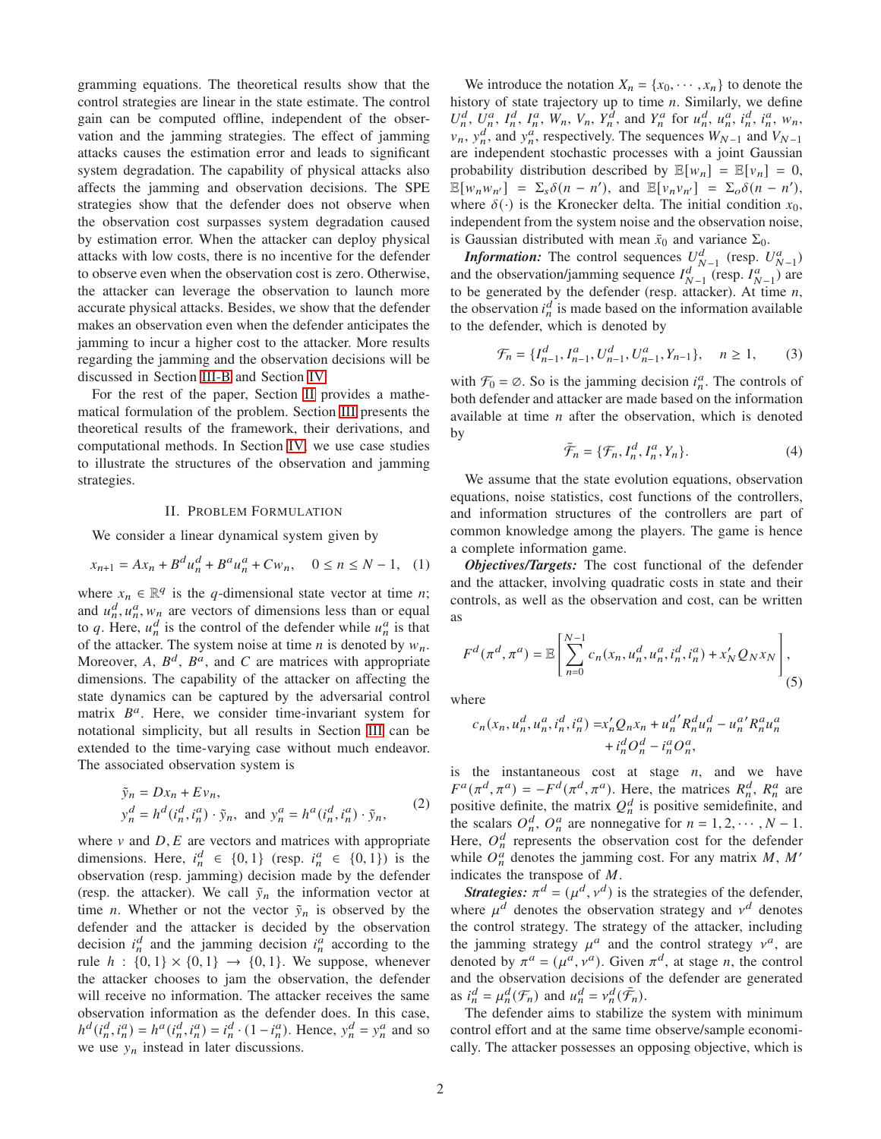gramming equations. The theoretical results show that the control strategies are linear in the state estimate. The control gain can be computed offline, independent of the observation and the jamming strategies. The effect of jamming attacks causes the estimation error and leads to significant system degradation. The capability of physical attacks also affects the jamming and observation decisions. The SPE strategies show that the defender does not observe when the observation cost surpasses system degradation caused by estimation error. When the attacker can deploy physical attacks with low costs, there is no incentive for the defender to observe even when the observation cost is zero. Otherwise, the attacker can leverage the observation to launch more accurate physical attacks. Besides, we show that the defender makes an observation even when the defender anticipates the jamming to incur a higher cost to the attacker. More results regarding the jamming and the observation decisions will be discussed in Section [III-B](#page-4-0) and Section [IV.](#page-7-0)

For the rest of the paper, Section [II](#page-1-0) provides a mathematical formulation of the problem. Section [III](#page-2-1) presents the theoretical results of the framework, their derivations, and computational methods. In Section [IV,](#page-7-0) we use case studies to illustrate the structures of the observation and jamming strategies.

#### II. PROBLEM FORMULATION

<span id="page-1-0"></span>We consider a linear dynamical system given by

<span id="page-1-1"></span>
$$
x_{n+1} = Ax_n + B^d u_n^d + B^a u_n^d + C w_n, \quad 0 \le n \le N - 1, \tag{1}
$$

where  $x_n \in \mathbb{R}^q$  is the q-dimensional state vector at time n; and  $u_n^d$ ,  $u_n^a$ ,  $w_n$  are vectors of dimensions less than or equal to q. Here,  $u_n^d$  is the control of the defender while  $u_n^d$  is that of the attacker. The system noise at time  $n$  is denoted by  $w_n$ . Moreover, A,  $B^d$ ,  $B^a$ , and C are matrices with appropriate dimensions. The capability of the attacker on affecting the state dynamics can be captured by the adversarial control matrix  $B^a$ . Here, we consider time-invariant system for notational simplicity, but all results in Section [III](#page-2-1) can be extended to the time-varying case without much endeavor. The associated observation system is

$$
\tilde{y}_n = Dx_n + Ev_n,
$$
\n
$$
y_n^d = h^d(i_n^d, i_n^a) \cdot \tilde{y}_n, \text{ and } y_n^a = h^a(i_n^d, i_n^a) \cdot \tilde{y}_n,
$$
\n(2)

where  $\nu$  and  $D$ ,  $E$  are vectors and matrices with appropriate dimensions. Here,  $i_n^d \in \{0, 1\}$  (resp.  $i_n^d \in \{0, 1\}$ ) is the observation (resp. jamming) decision made by the defender (resp. the attacker). We call  $\tilde{y}_n$  the information vector at time *n*. Whether or not the vector  $\tilde{y}_n$  is observed by the defender and the attacker is decided by the observation decision  $i_n^d$  and the jamming decision  $i_n^a$  according to the rule  $h : \{0, 1\} \times \{0, 1\} \rightarrow \{0, 1\}$ . We suppose, whenever the attacker chooses to jam the observation, the defender will receive no information. The attacker receives the same observation information as the defender does. In this case,  $h^d(i_n^d, i_n^a) = h^a(i_n^d, i_n^a) = i_n^d \cdot (1 - i_n^a)$ . Hence,  $y_n^d = y_n^a$  and so we use  $y_n$  instead in later discussions.

We introduce the notation  $X_n = \{x_0, \dots, x_n\}$  to denote the history of state trajectory up to time  $n$ . Similarly, we define  $U_n^d$ ,  $U_n^a$ ,  $I_n^d$ ,  $I_n^a$ ,  $W_n$ ,  $V_n$ ,  $Y_n^d$ , and  $Y_n^a$  for  $u_n^d$ ,  $u_n^a$ ,  $i_n^d$ ,  $i_n^a$ ,  $w_n$ ,  $v_n$ ,  $y_n^d$ , and  $y_n^a$ , respectively. The sequences  $W_{N-1}$  and  $V_{N-1}$ are independent stochastic processes with a joint Gaussian probability distribution described by  $\mathbb{E}[w_n] = \mathbb{E}[v_n] = 0$ ,  $\mathbb{E}[w_n w_{n'}] = \Sigma_s \delta(n - n'), \text{ and } \mathbb{E}[v_n v_{n'}] = \Sigma_o \delta(n - n'),$ where  $\delta(\cdot)$  is the Kronecker delta. The initial condition  $x_0$ , independent from the system noise and the observation noise, is Gaussian distributed with mean  $\bar{x}_0$  and variance  $\Sigma_0$ .

*Information:* The control sequences  $U_{N-1}^d$  (resp.  $U_{N-1}^a$ ) and the observation/jamming sequence  $I_{N-1}^d$  (resp.  $I_{N-1}^a$ ) are to be generated by the defender (resp. attacker). At time  $n$ , the observation  $i_n^d$  is made based on the information available to the defender, which is denoted by

$$
\mathcal{F}_n = \{I_{n-1}^d, I_{n-1}^a, U_{n-1}^d, U_{n-1}^a, Y_{n-1}\}, \quad n \ge 1,\tag{3}
$$

with  $\mathcal{F}_0 = \emptyset$ . So is the jamming decision  $i_n^a$ . The controls of both defender and attacker are made based on the information available at time  $n$  after the observation, which is denoted by

$$
\bar{\mathcal{F}}_n = \{ \mathcal{F}_n, I_n^d, I_n^a, Y_n \}. \tag{4}
$$

We assume that the state evolution equations, observation equations, noise statistics, cost functions of the controllers, and information structures of the controllers are part of common knowledge among the players. The game is hence a complete information game.

*Objectives/Targets:* The cost functional of the defender and the attacker, involving quadratic costs in state and their controls, as well as the observation and cost, can be written as

<span id="page-1-2"></span>
$$
F^{d}(\pi^{d}, \pi^{a}) = \mathbb{E}\left[\sum_{n=0}^{N-1} c_{n}(x_{n}, u_{n}^{d}, u_{n}^{a}, i_{n}^{d}, i_{n}^{a}) + x_{N}'Q_{N}x_{N}\right],
$$
\n(5)

where

$$
\begin{aligned} c_n(x_n, u_n^d, u_n^a, i_n^d, i_n^a) = & x_n'Q_nx_n + u_n^{d'}R_n^du_n^d - u_n^{a'}R_n^au_n^a \\ & + i_n^dO_n^d - i_n^aO_n^a, \end{aligned}
$$

is the instantaneous cost at stage  $n$ , and we have  $F^a(\pi^d, \pi^a) = -F^d(\pi^d, \pi^a)$ . Here, the matrices  $R_n^d$ ,  $R_n^a$  are positive definite, the matrix  $Q_n^d$  is positive semidefinite, and the scalars  $O_n^d$ ,  $O_n^a$  are nonnegative for  $n = 1, 2, \dots, N - 1$ . Here,  $O_n^d$  represents the observation cost for the defender while  $O_n^a$  denotes the jamming cost. For any matrix  $M$ ,  $M'$ indicates the transpose of  $M$ .

*Strategies:*  $\pi^d = (\mu^d, v^d)$  is the strategies of the defender, where  $\mu^d$  denotes the observation strategy and  $v^d$  denotes the control strategy. The strategy of the attacker, including the jamming strategy  $\mu^a$  and the control strategy  $\nu^a$ , are denoted by  $\pi^a = (\mu^a, \nu^a)$ . Given  $\pi^d$ , at stage *n*, the control and the observation decisions of the defender are generated as  $i_n^d = \mu_n^d(\mathcal{F}_n)$  and  $\mu_n^d = \nu_n^d(\bar{\mathcal{F}}_n)$ .

The defender aims to stabilize the system with minimum control effort and at the same time observe/sample economically. The attacker possesses an opposing objective, which is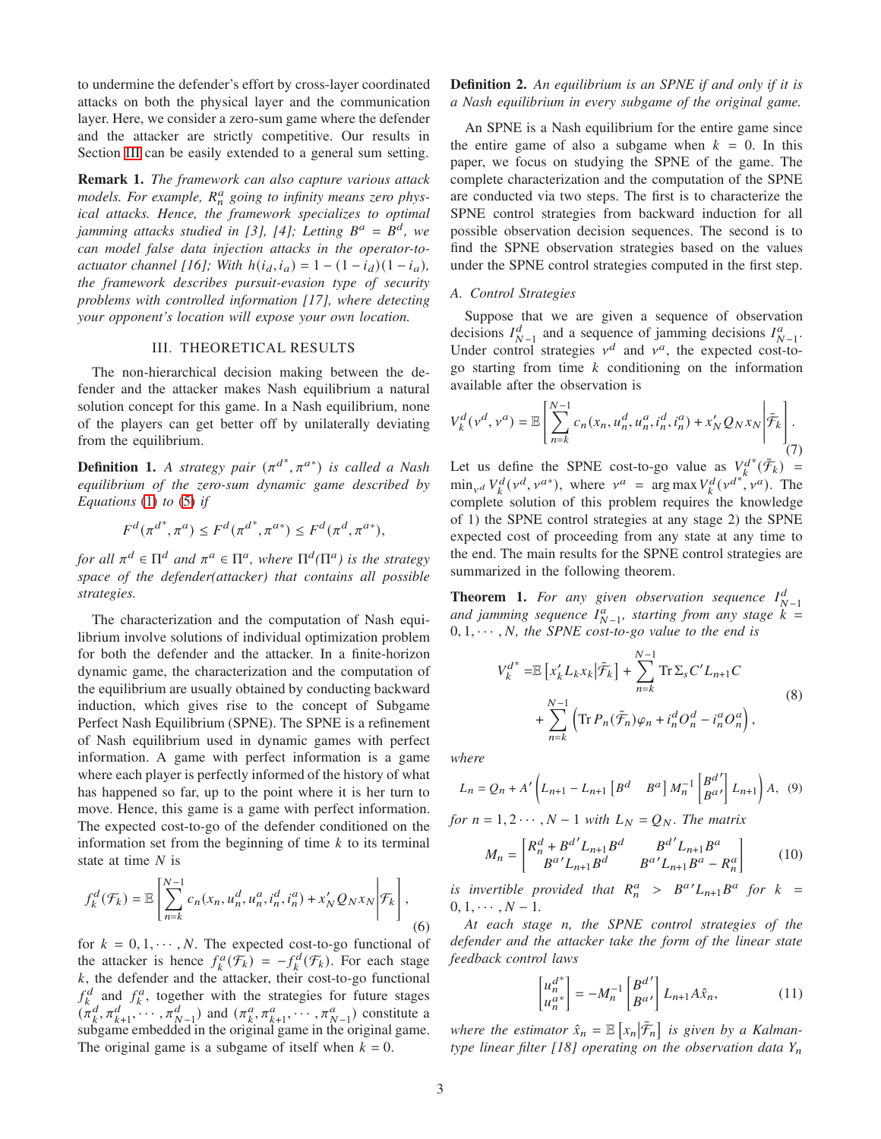to undermine the defender's effort by cross-layer coordinated attacks on both the physical layer and the communication layer. Here, we consider a zero-sum game where the defender and the attacker are strictly competitive. Our results in Section [III](#page-2-1) can be easily extended to a general sum setting.

<span id="page-2-0"></span>Remark 1. *The framework can also capture various attack* models. For example,  $R_n^a$  going to infinity means zero phys*ical attacks. Hence, the framework specializes to optimal jamming attacks studied in [3], [4]; Letting*  $B^a = B^d$ , we *can model false data injection attacks in the operator-toactuator channel [16]; With*  $h(i_d, i_a) = 1 - (1 - i_d)(1 - i_a)$ , *the framework describes pursuit-evasion type of security problems with controlled information [17], where detecting your opponent's location will expose your own location.*

## III. THEORETICAL RESULTS

<span id="page-2-1"></span>The non-hierarchical decision making between the defender and the attacker makes Nash equilibrium a natural solution concept for this game. In a Nash equilibrium, none of the players can get better off by unilaterally deviating from the equilibrium.

**Definition 1.** A strategy pair  $(\pi^{d*}, \pi^{a*})$  is called a Nash *equilibrium of the zero-sum dynamic game described by Equations* [\(1\)](#page-1-1) *to* [\(5\)](#page-1-2) *if*

$$
F^d(\pi^{d^*}, \pi^a) \le F^d(\pi^{d^*}, \pi^{a^*}) \le F^d(\pi^d, \pi^{a^*}),
$$

*for all*  $\pi^d \in \Pi^d$  and  $\pi^a \in \Pi^a$ , where  $\Pi^d(\Pi^a)$  is the strategy *space of the defender(attacker) that contains all possible strategies.*

The characterization and the computation of Nash equilibrium involve solutions of individual optimization problem for both the defender and the attacker. In a finite-horizon dynamic game, the characterization and the computation of the equilibrium are usually obtained by conducting backward induction, which gives rise to the concept of Subgame Perfect Nash Equilibrium (SPNE). The SPNE is a refinement of Nash equilibrium used in dynamic games with perfect information. A game with perfect information is a game where each player is perfectly informed of the history of what has happened so far, up to the point where it is her turn to move. Hence, this game is a game with perfect information. The expected cost-to-go of the defender conditioned on the information set from the beginning of time  $k$  to its terminal state at time  $N$  is

<span id="page-2-5"></span>
$$
f_k^d(\mathcal{F}_k) = \mathbb{E}\left[\sum_{n=k}^{N-1} c_n(x_n, u_n^d, u_n^a, i_n^d, i_n^a) + x_N' Q_N x_N \middle| \mathcal{F}_k\right],\tag{6}
$$

for  $k = 0, 1, \dots, N$ . The expected cost-to-go functional of the attacker is hence  $f_k^a(\overline{\mathcal{F}_k}) = -f_k^d(\overline{\mathcal{F}_k})$ . For each stage  $k$ , the defender and the attacker, their cost-to-go functional  $f_k^d$  and  $f_k^a$ , together with the strategies for future stages  $(\tilde{\pi}_k^d, \pi_{k+1}^d, \dots, \pi_{N-1}^d)$  and  $(\pi_k^a, \pi_{k+1}^a, \dots, \pi_{N-1}^a)$  constitute a subgame embedded in the original game in the original game. The original game is a subgame of itself when  $k = 0$ .

# Definition 2. *An equilibrium is an SPNE if and only if it is a Nash equilibrium in every subgame of the original game.*

An SPNE is a Nash equilibrium for the entire game since the entire game of also a subgame when  $k = 0$ . In this paper, we focus on studying the SPNE of the game. The complete characterization and the computation of the SPNE are conducted via two steps. The first is to characterize the SPNE control strategies from backward induction for all possible observation decision sequences. The second is to find the SPNE observation strategies based on the values under the SPNE control strategies computed in the first step.

## <span id="page-2-4"></span>*A. Control Strategies*

Suppose that we are given a sequence of observation decisions  $I_{N-1}^d$  and a sequence of jamming decisions  $I_{N-1}^a$ . Under control strategies  $v^d$  and  $v^a$ , the expected cost-togo starting from time  $k$  conditioning on the information available after the observation is

<span id="page-2-6"></span>
$$
V_k^d(\nu^d, \nu^a) = \mathbb{E}\left[\sum_{n=k}^{N-1} c_n(x_n, u_n^d, u_n^a, i_n^d, i_n^a) + x_N' Q_N x_N \middle| \overline{\tilde{\mathcal{F}}_k} \right].
$$
\n(7)

Let us define the SPNE cost-to-go value as  $V^d$ <sub>k</sub>  $^*(\bar{\mathcal{F}}_k)$  =  $\min_{v^d} V_k^d(v^d, v^{a*})$ , where  $v^a = \arg \max V_k^d(v^{a*}, v^a)$ . The complete solution of this problem requires the knowledge of 1) the SPNE control strategies at any stage 2) the SPNE expected cost of proceeding from any state at any time to the end. The main results for the SPNE control strategies are summarized in the following theorem.

**Theorem 1.** For any given observation sequence  $I_{N-1}^d$ and jamming sequence  $I_{N-1}^a$ , starting from any stage  $k =$  $0, 1, \cdots, N$ *, the SPNE cost-to-go value to the end is* 

<span id="page-2-2"></span>
$$
V_k^{d^*} = \mathbb{E}\left[x_k' L_k x_k \middle| \bar{\mathcal{F}}_k\right] + \sum_{n=k}^{N-1} \text{Tr}\,\Sigma_s C' L_{n+1} C
$$
  
+ 
$$
\sum_{n=k}^{N-1} \left(\text{Tr}\,P_n(\bar{\mathcal{F}}_n)\varphi_n + i_n^d O_n^d - i_n^a O_n^a\right),
$$
 (8)

*where*

$$
L_n = Q_n + A' \left( L_{n+1} - L_{n+1} \left[ B^d \quad B^a \right] M_n^{-1} \left[ \begin{matrix} B^{d'} \\ B^{a'} \end{matrix} \right] L_{n+1} \right) A, \tag{9}
$$

*for*  $n = 1, 2 \cdots, N - 1$  *with*  $L_N = Q_N$ *. The matrix* 

$$
M_n = \begin{bmatrix} R_n^d + B^{d'} L_{n+1} B^d & B^{d'} L_{n+1} B^a \\ B^{a'} L_{n+1} B^d & B^{a'} L_{n+1} B^a - R_n^a \end{bmatrix}
$$
 (10)

*is invertible provided that*  $R_n^a > B^a L_{n+1} B^a$  *for*  $k =$  $0, 1, \cdots, N-1.$ 

*At each stage* 𝑛*, the SPNE control strategies of the defender and the attacker take the form of the linear state feedback control laws*

<span id="page-2-3"></span>
$$
\begin{bmatrix} u_n^{d^*} \\ u_n^{a^*} \end{bmatrix} = -M_n^{-1} \begin{bmatrix} B^{d'} \\ B^{a'} \end{bmatrix} L_{n+1} A \hat{x}_n, \tag{11}
$$

where the estimator  $\hat{x}_n = \mathbb{E} \left[ x_n | \tilde{\mathcal{F}}_n \right]$  is given by a Kalman*type linear filter [18] operating on the observation data*  $Y_n$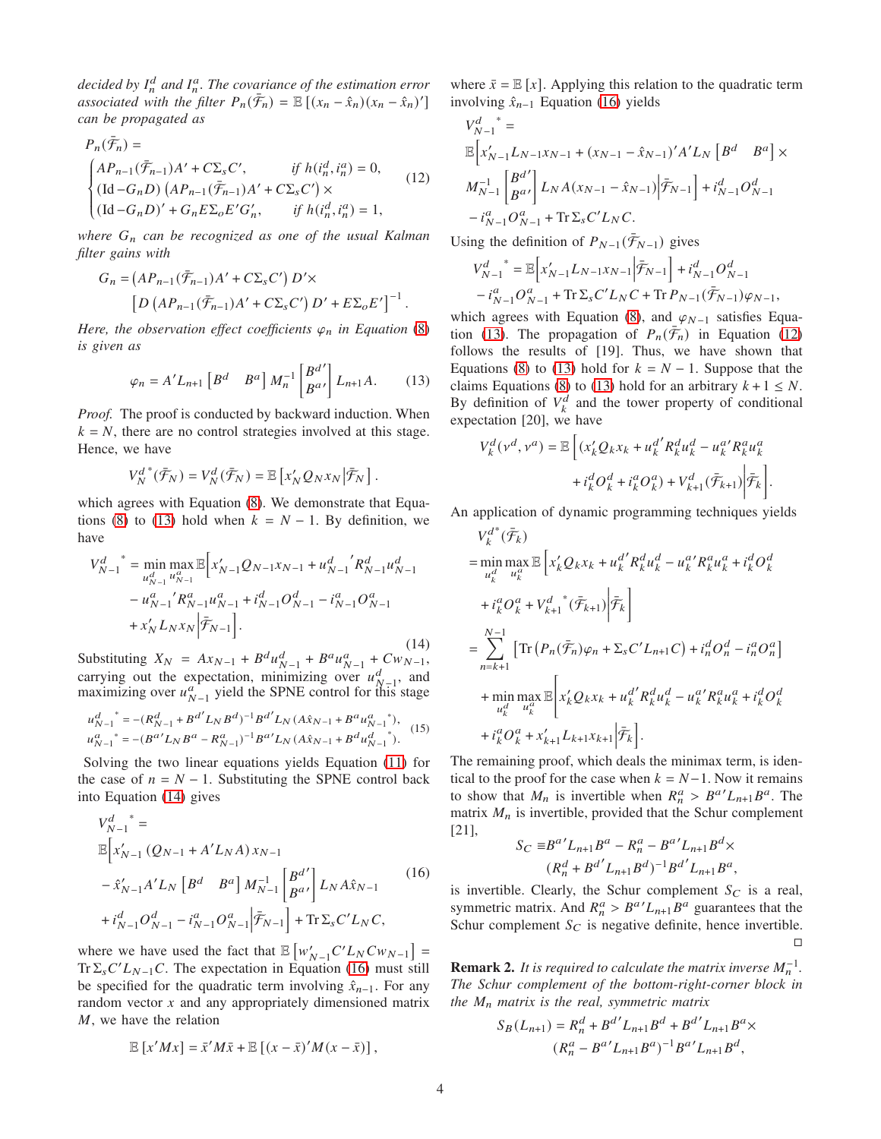decided by  $I_n^d$  and  $I_n^a$ . The covariance of the estimation error *associated with the filter*  $P_n(\bar{\mathcal{F}}_n) = \mathbb{E} \left[ (x_n - \hat{x}_n)(x_n - \hat{x}_n)' \right]$ *can be propagated as*

<span id="page-3-3"></span>
$$
P_n(\bar{\mathcal{F}}_n) =
$$
\n
$$
\begin{cases}\nAP_{n-1}(\bar{\mathcal{F}}_{n-1})A' + C\Sigma_s C', & \text{if } h(i_n^d, i_n^a) = 0, \\
(\text{Id} - G_n D) (AP_{n-1}(\bar{\mathcal{F}}_{n-1})A' + C\Sigma_s C') \times \\
(\text{Id} - G_n D)' + G_n E \Sigma_o E' G'_n, & \text{if } h(i_n^d, i_n^a) = 1,\n\end{cases}
$$
\n(12)

*where* 𝐺<sup>𝑛</sup> *can be recognized as one of the usual Kalman filter gains with*

$$
G_n = (AP_{n-1}(\overline{\mathcal{F}}_{n-1})A' + C\Sigma_s C') D' \times
$$
  
\n
$$
\left[ D \left( AP_{n-1}(\overline{\mathcal{F}}_{n-1})A' + C\Sigma_s C' \right) D' + E\Sigma_o E' \right]^{-1}.
$$

*Here, the observation effect coefficients*  $\varphi_n$  *in Equation* [\(8\)](#page-2-2) *is given as*

<span id="page-3-0"></span>
$$
\varphi_n = A' L_{n+1} \left[ B^d \quad B^a \right] M_n^{-1} \begin{bmatrix} B^{d'} \\ B^{a'} \end{bmatrix} L_{n+1} A. \tag{13}
$$

*Proof.* The proof is conducted by backward induction. When  $k = N$ , there are no control strategies involved at this stage. Hence, we have

$$
V_N^{d\; *}(\bar{\mathcal F}_N)=V_N^d(\bar{\mathcal F}_N)=\mathbb E\left[x_N'Q_Nx_N\left|\bar{\mathcal F}_N\right.\right].
$$

which agrees with Equation [\(8\)](#page-2-2). We demonstrate that Equa-tions [\(8\)](#page-2-2) to [\(13\)](#page-3-0) hold when  $k = N - 1$ . By definition, we have

<span id="page-3-1"></span>
$$
V_{N-1}^{d}^{*} = \min_{u_{N-1}^{d} u_{N-1}^{a}} \mathbb{E}\Big[x_{N-1}^{'}Q_{N-1}x_{N-1} + u_{N-1}^{d'}R_{N-1}^{d}u_{N-1}^{d}\Big] - u_{N-1}^{a'}R_{N-1}^{a}u_{N-1}^{a} + i_{N-1}^{d}O_{N-1}^{d} - i_{N-1}^{a}O_{N-1}^{a} + x_{N}'L_{N}x_{N}\Big|\overline{\mathcal{F}}_{N-1}\Big].
$$

Substituting  $X_N = Ax_{N-1} + B^d u_{N-1}^d + B^a u_{N-1}^a + C w_{N-1}^a$ , (14) carrying out the expectation, minimizing over  $u_{N-1}^d$ , and maximizing over  $u_{N-1}^a$  yield the SPNE control for this stage

<span id="page-3-4"></span>
$$
u_{N-1}^{d^*}{}^* = -(R_{N-1}^d + B^{d'} L_N B^{d})^{-1} B^{d'} L_N (A \hat{x}_{N-1} + B^a u_{N-1}^a)^*,
$$
  
\n
$$
u_{N-1}^{a^*}{}^* = -(B^{a'} L_N B^a - R_{N-1}^a)^{-1} B^{a'} L_N (A \hat{x}_{N-1} + B^d u_{N-1}^d)^*.
$$
\n(15)

Solving the two linear equations yields Equation [\(11\)](#page-2-3) for the case of  $n = N - 1$ . Substituting the SPNE control back into Equation [\(14\)](#page-3-1) gives

<span id="page-3-2"></span>
$$
V_{N-1}^{d}^* =
$$
  
\n
$$
\mathbb{E}\Big[x'_{N-1} (Q_{N-1} + A'L_N A)x_{N-1} - \hat{x}'_{N-1}A'L_N [B^d \t B^a] M_{N-1}^{-1} \Big[\frac{B^{d'}}{B^a'}\Big] L_N A \hat{x}_{N-1}
$$
\n
$$
+ i_{N-1}^d O_{N-1}^d - i_{N-1}^a O_{N-1}^a \Big|\tilde{\mathcal{F}}_{N-1}\Big] + \text{Tr} \Sigma_s C'L_N C,
$$
\n(16)

where we have used the fact that  $\mathbb{E}\left[w'_{N-1}C'L_NCw_{N-1}\right] =$  $Tr \sum_{s} C' L_{N-1} C$ . The expectation in Equation [\(16\)](#page-3-2) must still be specified for the quadratic term involving  $\hat{x}_{n-1}$ . For any random vector  $x$  and any appropriately dimensioned matrix  $M$ , we have the relation

$$
\mathbb{E}[x'Mx] = \bar{x}'M\bar{x} + \mathbb{E}[(x-\bar{x})'M(x-\bar{x})],
$$

where  $\bar{x} = \mathbb{E}[x]$ . Applying this relation to the quadratic term involving  $\hat{x}_{n-1}$  Equation [\(16\)](#page-3-2) yields

$$
\begin{split} &V_{N-1}^{d}\overset{*}{=}\\ &\mathbb{E}\bigg[x_{N-1}^{\prime}L_{N-1}x_{N-1}+(x_{N-1}-\hat{x}_{N-1})^{\prime}A^{\prime}L_{N}\left[B^{d}~~B^{a}\right]\times\\ &M_{N-1}^{-1}\begin{bmatrix}B^{d^{\prime}}\\B^{a^{\prime}}\end{bmatrix}L_{N}A(x_{N-1}-\hat{x}_{N-1})\bigg|\tilde{\mathcal{F}}_{N-1}\bigg]+i_{N-1}^{d}O_{N-1}^{d}\\ &-i_{N-1}^{a}O_{N-1}^{a}+\text{Tr}\Sigma_{s}C^{\prime}L_{N}C. \end{split}
$$

Using the definition of  $P_{N-1}(\bar{\mathcal{F}}_{N-1})$  gives

$$
V_{N-1}^d^* = \mathbb{E}\Big[x'_{N-1}L_{N-1}x_{N-1}\Big|\bar{\mathcal{F}}_{N-1}\Big] + i_{N-1}^d O_{N-1}^d
$$
  
-  $i_{N-1}^a O_{N-1}^a + \text{Tr}\Sigma_s C' L_N C + \text{Tr} P_{N-1}(\bar{\mathcal{F}}_{N-1})\varphi_{N-1},$ 

which agrees with Equation [\(8\)](#page-2-2), and  $\varphi_{N-1}$  satisfies Equa-tion [\(13\)](#page-3-0). The propagation of  $P_n(\bar{\mathcal{F}}_n)$  in Equation [\(12\)](#page-3-3) follows the results of [19]. Thus, we have shown that Equations [\(8\)](#page-2-2) to [\(13\)](#page-3-0) hold for  $k = N - 1$ . Suppose that the claims Equations [\(8\)](#page-2-2) to [\(13\)](#page-3-0) hold for an arbitrary  $k + 1 \leq N$ . By definition of  $V_k^d$  and the tower property of conditional expectation [20], we have

$$
V_{k}^{d}(v^{d}, v^{a}) = \mathbb{E}\left[ (x_{k}'Q_{k}x_{k} + u_{k}^{d'}R_{k}^{d}u_{k}^{d} - u_{k}^{a'}R_{k}^{a}u_{k}^{a} + i_{k}^{d}O_{k}^{d} + i_{k}^{a}O_{k}^{a}) + V_{k+1}^{d}(\bar{\mathcal{F}}_{k+1})\bigg|\bar{\mathcal{F}}_{k}\right].
$$

An application of dynamic programming techniques yields

$$
V_{k}^{d^{*}}(\bar{\mathcal{F}}_{k})
$$
\n
$$
= \min_{u_{k}^{d}} \max_{u_{k}^{a}} \mathbb{E}\left[x_{k}^{'}Q_{k}x_{k} + u_{k}^{d'}R_{k}^{d}u_{k}^{d} - u_{k}^{a'}R_{k}^{a}u_{k}^{a} + i_{k}^{d}O_{k}^{d}\right]
$$
\n
$$
+ i_{k}^{a}O_{k}^{a} + V_{k+1}^{d^{*}}(\bar{\mathcal{F}}_{k+1})\left|\bar{\mathcal{F}}_{k}\right|
$$
\n
$$
= \sum_{n=k+1}^{N-1} \left[ \text{Tr}\left(P_{n}(\bar{\mathcal{F}}_{n})\varphi_{n} + \Sigma_{s}C'L_{n+1}C\right) + i_{n}^{d}O_{n}^{d} - i_{n}^{a}O_{n}^{a}\right]
$$
\n
$$
+ \min_{u_{k}^{d}} \max_{u_{k}^{a}} \mathbb{E}\left[x_{k}^{'}Q_{k}x_{k} + u_{k}^{d'}R_{k}^{d}u_{k}^{d} - u_{k}^{a'}R_{k}^{a}u_{k}^{a} + i_{k}^{d}O_{k}^{d}\right]
$$
\n
$$
+ i_{k}^{a}O_{k}^{a} + x_{k+1}^{'}L_{k+1}x_{k+1}\left|\bar{\mathcal{F}}_{k}\right|.
$$

The remaining proof, which deals the minimax term, is identical to the proof for the case when  $k = N-1$ . Now it remains to show that  $M_n$  is invertible when  $R_n^a > B^{a'} L_{n+1} B^a$ . The matrix  $M_n$  is invertible, provided that the Schur complement [21],

$$
S_C \equiv B^{a'} L_{n+1} B^a - R_n^a - B^{a'} L_{n+1} B^d \times
$$
  

$$
(R_n^d + B^{d'} L_{n+1} B^d)^{-1} B^{d'} L_{n+1} B^a,
$$

is invertible. Clearly, the Schur complement  $S_C$  is a real, symmetric matrix. And  $R_n^a > B^{a'} L_{n+1} B^a$  guarantees that the Schur complement  $S_C$  is negative definite, hence invertible.  $\Box$ 

**Remark 2.** It is required to calculate the matrix inverse  $M_n^{-1}$ . *The Schur complement of the bottom-right-corner block in the*  $M_n$  matrix is the real, symmetric matrix

$$
S_B(L_{n+1}) = R_n^d + B^{d'} L_{n+1} B^d + B^{d'} L_{n+1} B^a \times
$$
  

$$
(R_n^a - B^{a'} L_{n+1} B^a)^{-1} B^{a'} L_{n+1} B^d,
$$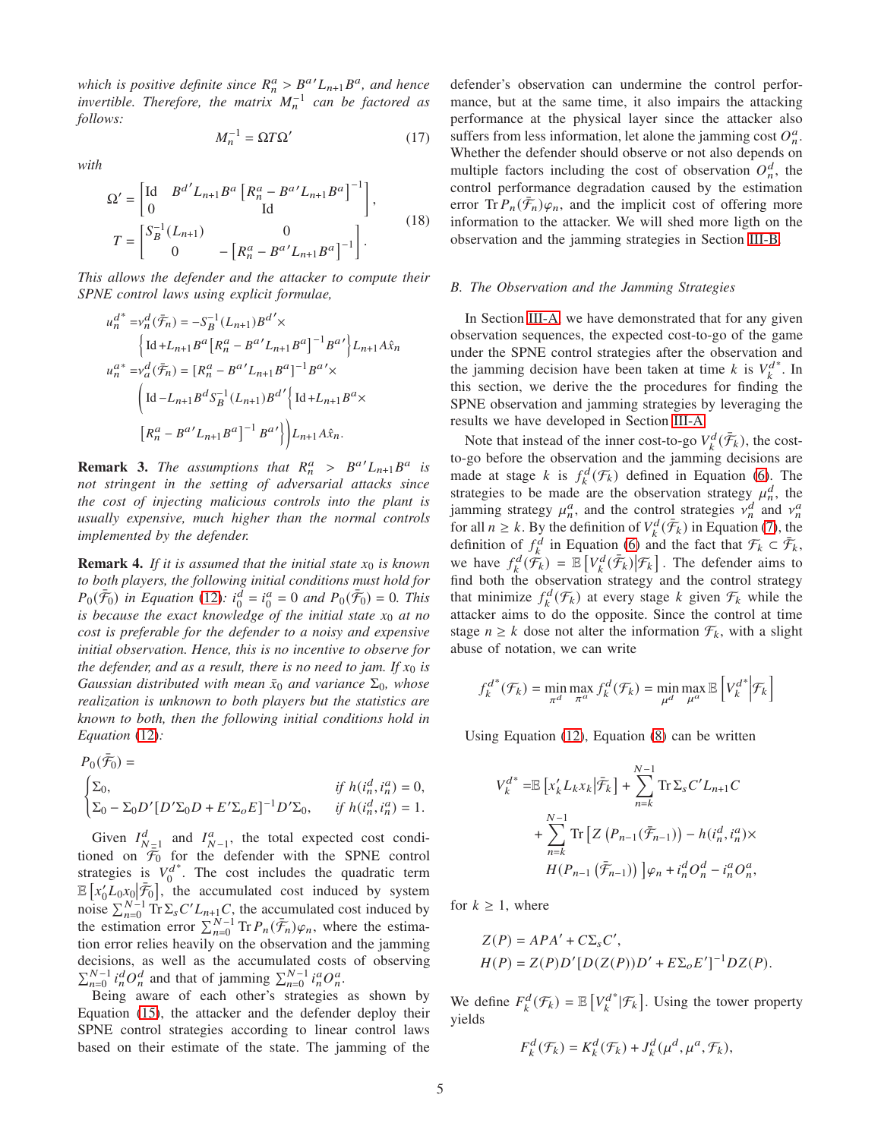*which is positive definite since*  $R_n^a > B^a L_{n+1} B^a$ , and hence *invertible. Therefore, the matrix*  $M_n^{-1}$  can be factored as *follows:*

<span id="page-4-1"></span>
$$
M_n^{-1} = \Omega T \Omega' \tag{17}
$$

*with*

<span id="page-4-2"></span>
$$
\Omega' = \begin{bmatrix} \text{Id} & B^{d'} L_{n+1} B^a \left[ R_n^a - B^{a'} L_{n+1} B^a \right]^{-1} \\ 0 & \text{Id} \end{bmatrix},
$$
  
\n
$$
T = \begin{bmatrix} S_B^{-1} (L_{n+1}) & 0 \\ 0 & -\left[ R_n^a - B^{a'} L_{n+1} B^a \right]^{-1} \end{bmatrix}.
$$
 (18)

*This allows the defender and the attacker to compute their SPNE control laws using explicit formulae,*

$$
\begin{split} u_n^{d^*}=&v_n^d(\bar{\mathcal{F}}_n)=-S_B^{-1}(L_{n+1})B^{d'}\times\\ &\Big\{\text{Id}+L_{n+1}B^a\Big[R_n^a-B^{a'}L_{n+1}B^a\Big]^{-1}B^{a'}\Big\}L_{n+1}A\hat{x}_n\\ u_n^{a^*}=&v_n^d(\bar{\mathcal{F}}_n)=\big[R_n^a-B^{a'}L_{n+1}B^a\big]^{-1}B^{a'}\times\\ &\Big(\text{Id}-L_{n+1}B^dS_B^{-1}(L_{n+1})B^{d'}\Big\}\text{Id}+L_{n+1}B^a\times\\ &\Big[R_n^a-B^{a'}L_{n+1}B^a\Big]^{-1}B^{a'}\Big\}\Big)L_{n+1}A\hat{x}_n. \end{split}
$$

**Remark 3.** The assumptions that  $R_n^a > B^{a'} L_{n+1} B^a$  is *not stringent in the setting of adversarial attacks since the cost of injecting malicious controls into the plant is usually expensive, much higher than the normal controls implemented by the defender.*

**Remark 4.** If it is assumed that the initial state  $x_0$  is known *to both players, the following initial conditions must hold for*  $P_0(\bar{F}_0)$  *in Equation* [\(12\)](#page-3-3):  $i_0^{\bar{d}} = i_0^a = 0$  *and*  $P_0(\bar{F}_0) = 0$ . This *is because the exact knowledge of the initial state*  $x_0$  *at no cost is preferable for the defender to a noisy and expensive initial observation. Hence, this is no incentive to observe for the defender, and as a result, there is no need to jam. If*  $x_0$  *is Gaussian distributed with mean*  $\bar{x}_0$  *and variance*  $\Sigma_0$ *, whose realization is unknown to both players but the statistics are known to both, then the following initial conditions hold in Equation* [\(12\)](#page-3-3)*:*

$$
\begin{aligned} P_0(\bar{\mathcal{F}}_0) &=&\quad\text{if }h(i_n^d,i_n^a)=0,\\ \begin{cases} \Sigma_0, &\text{if }h(i_n^d,i_n^a)=0,\\ \Sigma_0-\Sigma_0 D'[D'\Sigma_0 D+E'\Sigma_0 E]^{-1}D'\Sigma_0, &\text{if }h(i_n^d,i_n^a)=1. \end{cases} \end{aligned}
$$

Given  $I_{N=1}^d$  and  $I_{N-1}^a$ , the total expected cost conditioned on  $\overline{\mathcal{F}}_0$  for the defender with the SPNE control strategies is  $V_0^d$ \*. The cost includes the quadratic term  $\mathbb{E}\left[x_0'L_0x_0\right]\bar{\mathcal{F}}_0$ , the accumulated cost induced by system noise  $\sum_{n=0}^{N-1}$  Tr  $\Sigma_s C'L_{n+1}C$ , the accumulated cost induced by the estimation error  $\sum_{n=0}^{N-1} \text{Tr} P_n(\bar{\mathcal{F}}_n) \varphi_n$ , where the estimation error relies heavily on the observation and the jamming decisions, as well as the accumulated costs of observing  $\sum_{n=0}^{N-1} i_n^d O_n^d$  and that of jamming  $\sum_{n=0}^{N-1} i_n^d O_n^d$ .

Being aware of each other's strategies as shown by Equation [\(15\)](#page-3-4), the attacker and the defender deploy their SPNE control strategies according to linear control laws based on their estimate of the state. The jamming of the defender's observation can undermine the control performance, but at the same time, it also impairs the attacking performance at the physical layer since the attacker also suffers from less information, let alone the jamming cost  $O_n^a$ . Whether the defender should observe or not also depends on multiple factors including the cost of observation  $O_n^d$ , the control performance degradation caused by the estimation error  $\text{Tr} P_n(\bar{\mathcal{F}}_n)\varphi_n$ , and the implicit cost of offering more information to the attacker. We will shed more ligth on the observation and the jamming strategies in Section [III-B.](#page-4-0)

#### <span id="page-4-0"></span>*B. The Observation and the Jamming Strategies*

In Section [III-A,](#page-2-4) we have demonstrated that for any given observation sequences, the expected cost-to-go of the game under the SPNE control strategies after the observation and the jamming decision have been taken at time  $k$  is  $V_k^d$ ∗ . In this section, we derive the the procedures for finding the SPNE observation and jamming strategies by leveraging the results we have developed in Section [III-A.](#page-2-4)

Note that instead of the inner cost-to-go  $V_k^d(\bar{\mathcal{F}}_k)$ , the costto-go before the observation and the jamming decisions are made at stage k is  $f_k^d(\mathcal{F}_k)$  defined in Equation [\(6\)](#page-2-5). The strategies to be made are the observation strategy  $\mu_n^d$ , the jamming strategy  $\mu_n^a$ , and the control strategies  $\nu_n^d$  and  $\nu_n^a$ for all  $n \ge k$ . By the definition of  $V_k^d(\bar{\mathcal{F}}_k)$  in Equation [\(7\)](#page-2-6), the definition of  $f_k^d$  in Equation [\(6\)](#page-2-5) and the fact that  $\mathcal{F}_k \subset \bar{\mathcal{F}}_k$ , we have  $f_k^d(\hat{\mathcal{F}}_k) = \mathbb{E}\left[V_k^d(\bar{\mathcal{F}}_k)|\mathcal{F}_k\right]$ . The defender aims to find both the observation strategy and the control strategy that minimize  $f_k^d(\mathcal{F}_k)$  at every stage k given  $\mathcal{F}_k$  while the attacker aims to do the opposite. Since the control at time stage  $n \geq k$  dose not alter the information  $\mathcal{F}_k$ , with a slight abuse of notation, we can write

$$
f_k^{d^*}(\mathcal{F}_k) = \min_{\pi^d} \max_{\pi^a} f_k^d(\mathcal{F}_k) = \min_{\mu^d} \max_{\mu^a} \mathbb{E}\left[V_k^{d^*}\middle|\mathcal{F}_k\right]
$$

Using Equation [\(12\)](#page-3-3), Equation [\(8\)](#page-2-2) can be written

$$
V_k^{d^*} = \mathbb{E} \left[ x_k' L_k x_k | \bar{\mathcal{F}}_k \right] + \sum_{n=k}^{N-1} \text{Tr} \Sigma_s C' L_{n+1} C
$$
  
+ 
$$
\sum_{n=k}^{N-1} \text{Tr} \left[ Z \left( P_{n-1} (\bar{\mathcal{F}}_{n-1}) \right) - h(i_n^d, i_n^a) \times H(P_{n-1} (\bar{\mathcal{F}}_{n-1})) \right] \varphi_n + i_n^d O_n^d - i_n^a O_n^a,
$$

for  $k \geq 1$ , where

$$
Z(P) = APA' + C\Sigma_s C',
$$
  
 
$$
H(P) = Z(P)D'[D(Z(P))D' + E\Sigma_o E']^{-1}DZ(P).
$$

We define  $F_k^d(\mathcal{F}_k) = \mathbb{E}\left[V_k^d\right]$  $*$  | $\mathcal{F}_k$  |. Using the tower property yields

$$
F_k^d(\mathcal{F}_k) = K_k^d(\mathcal{F}_k) + J_k^d(\mu^d, \mu^a, \mathcal{F}_k),
$$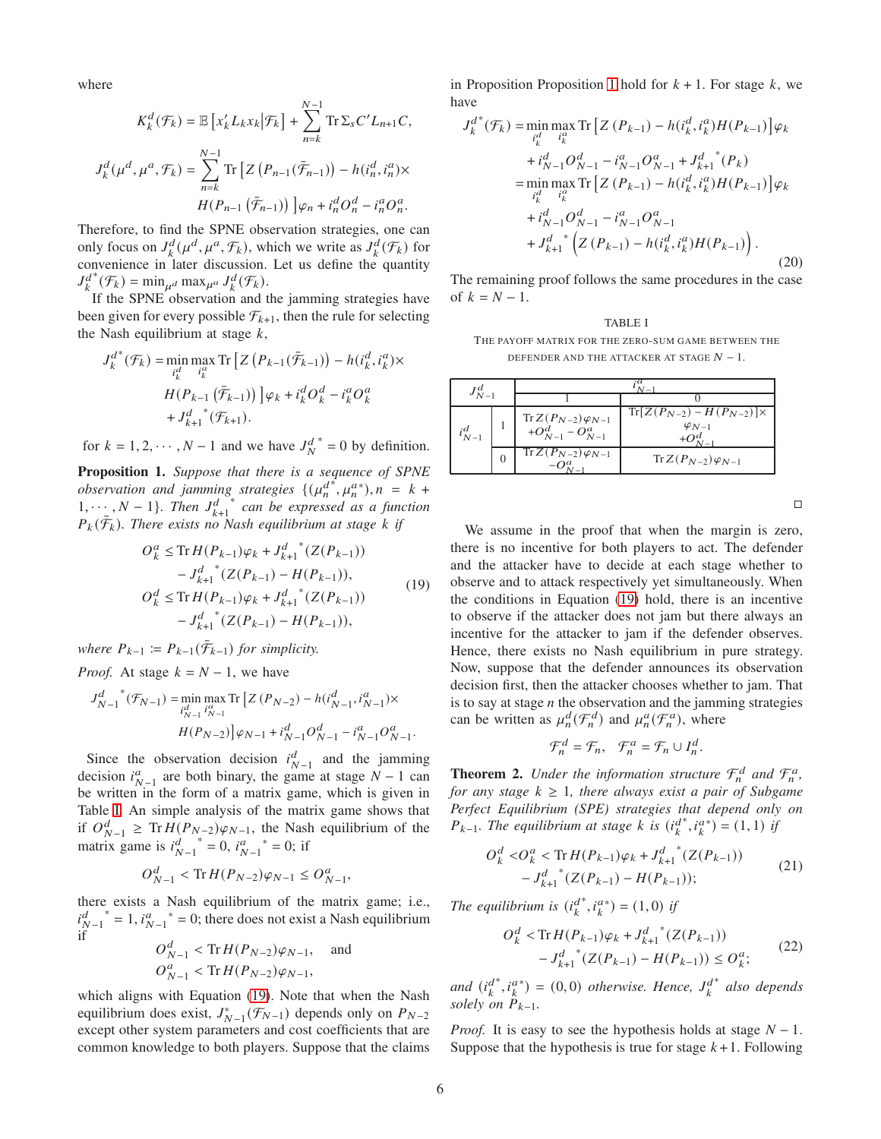where

$$
K_k^d(\mathcal{F}_k) = \mathbb{E}\left[x'_k L_k x_k \big| \mathcal{F}_k\right] + \sum_{n=k}^{N-1} \text{Tr}\,\Sigma_s C' L_{n+1} C,
$$
  

$$
J_k^d(\mu^d, \mu^a, \mathcal{F}_k) = \sum_{n=k}^{N-1} \text{Tr}\left[Z\left(P_{n-1}(\bar{\mathcal{F}}_{n-1})\right) - h(i_n^d, i_n^a) \times H(P_{n-1}(\bar{\mathcal{F}}_{n-1}))\right] \varphi_n + i_n^d O_n^d - i_n^a O_n^a.
$$

Therefore, to find the SPNE observation strategies, one can only focus on  $J_k^d(\mu^d, \mu^a, \mathcal{F}_k)$ , which we write as  $J_k^d(\mathcal{F}_k)$  for convenience in later discussion. Let us define the quantity  $J^d_k$  $^*(\mathcal{F}_k) = \min_{\mu^d} \max_{\mu^a} J_k^d(\mathcal{F}_k).$ 

If the SPNE observation and the jamming strategies have been given for every possible  $\mathcal{F}_{k+1}$ , then the rule for selecting the Nash equilibrium at stage  $k$ ,

$$
J_k^{d^*}(\mathcal{F}_k) = \min_{i_k^d} \max_{i_k^d} \text{Tr} \left[ Z\left(P_{k-1}(\bar{\mathcal{F}}_{k-1})\right) - h(i_k^d, i_k^a) \times \right. \\
 \left. H(P_{k-1}\left(\bar{\mathcal{F}}_{k-1}\right)\right) \left] \varphi_k + i_k^d O_k^d - i_k^a O_k^a \right. \\
 \left. + J_{k+1}^{d^*}(\mathcal{F}_{k+1}).\right.
$$

<span id="page-5-2"></span>for  $k = 1, 2, \dots, N - 1$  and we have  $J_N^d$  $* = 0$  by definition.

Proposition 1. *Suppose that there is a sequence of SPNE observation and jamming strategies*  $\{(\mu_n^d)\}$  $\mu_n^{a*}$ ,  $\mu_n^{a*}$ ),  $n = k +$  $1, \dots, N-1\}$ *. Then*  $J_{k+1}^d$ ∗ *can be expressed as a function*  $P_k(\bar{\mathcal{F}}_k)$ . There exists no Nash equilibrium at stage k if

<span id="page-5-1"></span>
$$
O_k^a \leq \text{Tr}\, H(P_{k-1})\varphi_k + J_{k+1}^{d}{}^*(Z(P_{k-1}))
$$
  
\n
$$
-J_{k+1}^{d}{}^*(Z(P_{k-1}) - H(P_{k-1})),
$$
  
\n
$$
O_k^d \leq \text{Tr}\, H(P_{k-1})\varphi_k + J_{k+1}^{d}{}^*(Z(P_{k-1}))
$$
  
\n
$$
-J_{k+1}^{d}{}^*(Z(P_{k-1}) - H(P_{k-1})),
$$
\n(19)

*where*  $P_{k-1} := P_{k-1}(\bar{\mathcal{F}}_{k-1})$  *for simplicity.* 

*Proof.* At stage  $k = N - 1$ , we have

$$
\begin{split} J^d_{N-1} \hskip-2pt \, \raisebox{2pt}{\text{\circle*{1.5}}}\hskip -2pt \, {}^*\! ( \mathcal{F}_{N-1} ) = & \min_{i^d_{N-1}} \max_{i^G_{N-1}} \text{Tr}\left[ Z\left(P_{N-2}\right) - h(i^d_{N-1},i^a_{N-1}) \times \right. \\ & \left. \qquad \qquad H(P_{N-2}) \right] \varphi_{N-1} + i^d_{N-1} O^d_{N-1} - i^a_{N-1} O^a_{N-1}. \end{split}
$$

Since the observation decision  $i_{N-1}^d$  and the jamming decision  $i_{N-1}^a$  are both binary, the game at stage  $N-1$  can be written in the form of a matrix game, which is given in Table [I.](#page-5-0) An simple analysis of the matrix game shows that if  $O_{N-1}^d \geq \text{Tr } H(P_{N-2})\varphi_{N-1}$ , the Nash equilibrium of the matrix game is  $i_{N-1}^d$  $i^a = 0$ ,  $i^a_{N-1}$  \* = 0; if

$$
O_{N-1}^d < \text{Tr}\, H(P_{N-2})\varphi_{N-1} \le O_{N-1}^a,
$$

there exists a Nash equilibrium of the matrix game; i.e.,  $i_{N-1}^d$  $i^* = 1$ ,  $i_{N-1}^a = 0$ ; there does not exist a Nash equilibrium if

$$
O_{N-1}^d < \text{Tr}\,H(P_{N-2})\varphi_{N-1}, \quad \text{and}
$$
\n
$$
O_{N-1}^a < \text{Tr}\,H(P_{N-2})\varphi_{N-1},
$$

which aligns with Equation [\(19\)](#page-5-1). Note that when the Nash equilibrium does exist,  $J^*_{N-1}(\mathcal{F}_{N-1})$  depends only on  $P_{N-2}$ except other system parameters and cost coefficients that are common knowledge to both players. Suppose that the claims in Proposition Proposition [1](#page-5-2) hold for  $k + 1$ . For stage  $k$ , we have

<span id="page-5-3"></span>
$$
J_{k}^{d^{*}}(\mathcal{F}_{k}) = \min_{i_{k}^{d}} \max_{i_{k}^{d}} \text{Tr} \left[ Z(P_{k-1}) - h(i_{k}^{d}, i_{k}^{a}) H(P_{k-1}) \right] \varphi_{k}
$$
  
+  $i_{N-1}^{d} O_{N-1}^{d} - i_{N-1}^{a} O_{N-1}^{a} + J_{k+1}^{d^{*}}(P_{k})$   
=  $\min_{i_{k}^{d}} \max_{i_{k}^{a}} \text{Tr} \left[ Z(P_{k-1}) - h(i_{k}^{d}, i_{k}^{a}) H(P_{k-1}) \right] \varphi_{k}$   
+  $i_{N-1}^{d} O_{N-1}^{d} - i_{N-1}^{a} O_{N-1}^{a}$   
+  $J_{k+1}^{d^{*}} \left( Z(P_{k-1}) - h(i_{k}^{d}, i_{k}^{a}) H(P_{k-1}) \right).$  (20)

The remaining proof follows the same procedures in the case of  $k = N - 1$ .

<span id="page-5-0"></span>**TABLE I**

\nTHE PAYOFF MATRIX FOR THE ZERO-SUM GAME BETWEEN THE DEFENDER AND THE ATTACKER AT SIGE 
$$
N - 1
$$
.

| $J_{N-1}^d$ |                  |                                                                      |                                                         |
|-------------|------------------|----------------------------------------------------------------------|---------------------------------------------------------|
|             |                  |                                                                      |                                                         |
| $i_{N-1}^d$ |                  | $\operatorname{Tr} Z(P_{N-2}) \varphi_{N-1} + O^d_{N-1} - O^a_{N-1}$ | $Tr[Z(P_{N-2}) - H(P_{N-2})] \times$<br>$\varphi_{N-1}$ |
|             | $\left( \right)$ | $Tr Z(P_{N-2})\varphi_{N-1}$                                         | $Tr Z(P_{N-2})\varphi_{N-1}$                            |

 $\Box$ 

We assume in the proof that when the margin is zero, there is no incentive for both players to act. The defender and the attacker have to decide at each stage whether to observe and to attack respectively yet simultaneously. When the conditions in Equation [\(19\)](#page-5-1) hold, there is an incentive to observe if the attacker does not jam but there always an incentive for the attacker to jam if the defender observes. Hence, there exists no Nash equilibrium in pure strategy. Now, suppose that the defender announces its observation decision first, then the attacker chooses whether to jam. That is to say at stage  $n$  the observation and the jamming strategies can be written as  $\mu_n^d(\mathcal{F}_n^d)$  and  $\mu_n^a(\mathcal{F}_n^a)$ , where

$$
\mathcal{F}_n^d = \mathcal{F}_n, \quad \mathcal{F}_n^a = \mathcal{F}_n \cup I_n^d.
$$

<span id="page-5-6"></span>**Theorem 2.** Under the information structure  $\mathcal{F}_n^d$  and  $\mathcal{F}_n^a$ , *for any stage*  $k \geq 1$ *, there always exist a pair of Subgame Perfect Equilibrium (SPE) strategies that depend only on*  $P_{k-1}$ . The equilibrium at stage  $k$  is  $(i_k^d)$ \*,  $i_k^{a*}$ ) = (1, 1) *if* 

<span id="page-5-4"></span>
$$
O_{k}^{d} < O_{k}^{a} < \text{Tr} H(P_{k-1})\varphi_{k} + J_{k+1}^{d}^{*}(Z(P_{k-1})) - J_{k+1}^{d}^{*}(Z(P_{k-1}) - H(P_{k-1}));
$$
\n(21)

The equilibrium is  $(i_k^d)$ \*,  $i_k^{a*}$ ) = (1,0) *if* 

<span id="page-5-5"></span>
$$
O_k^d < \text{Tr}\,H(P_{k-1})\varphi_k + J_{k+1}^{d^{-*}}(Z(P_{k-1})) - J_{k+1}^{d^{-*}}(Z(P_{k-1}) - H(P_{k-1})) \le O_k^d; \tag{22}
$$

and  $(i_k^d)$  $j_{k}^{a*}$ ,  $i_{k}^{a*}$ ) = (0,0) *otherwise. Hence,*  $J_{k}^{d}$ ∗ *also depends solely on*  $P_{k-1}$ *.* 

*Proof.* It is easy to see the hypothesis holds at stage  $N - 1$ . Suppose that the hypothesis is true for stage  $k+1$ . Following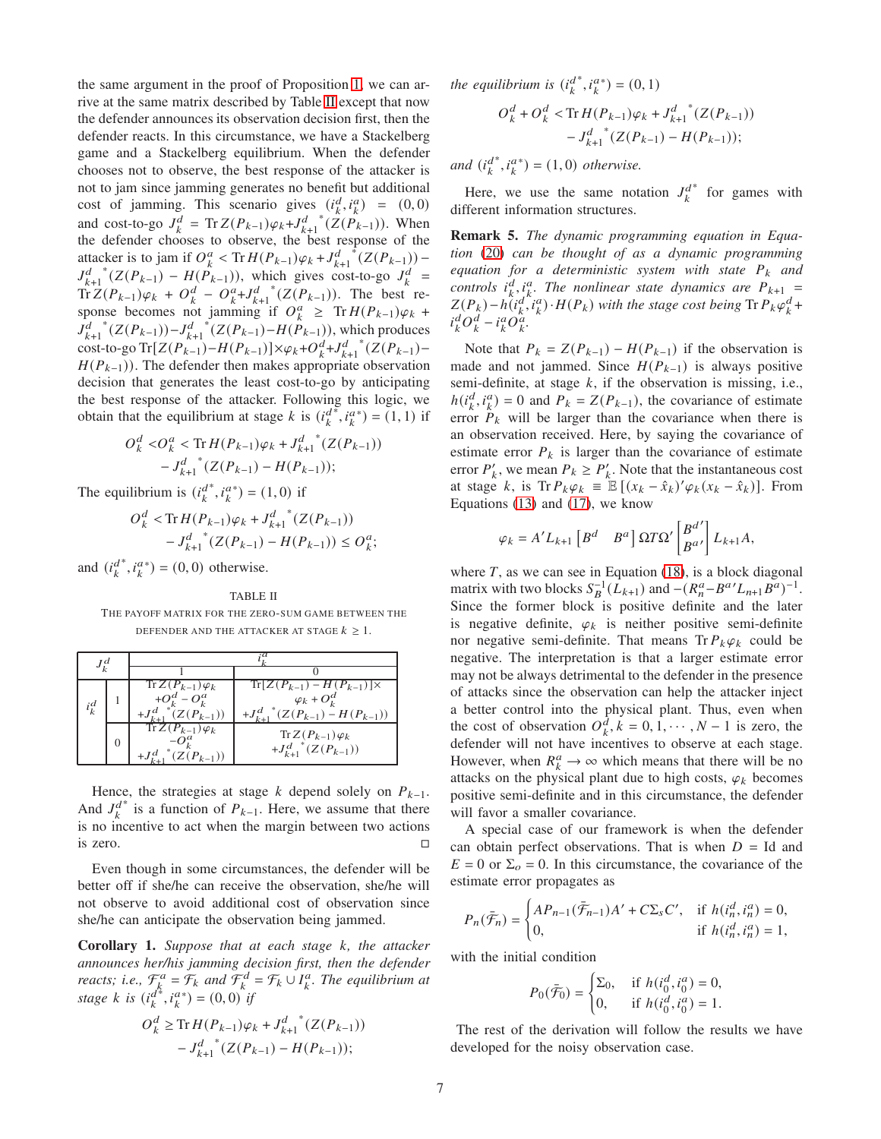the same argument in the proof of Proposition [1,](#page-5-2) we can arrive at the same matrix described by Table [II](#page-6-0) except that now the defender announces its observation decision first, then the defender reacts. In this circumstance, we have a Stackelberg game and a Stackelberg equilibrium. When the defender chooses not to observe, the best response of the attacker is not to jam since jamming generates no benefit but additional cost of jamming. This scenario gives  $(i_k^d, i_k^a) = (0, 0)$ and cost-to-go  $J_k^d = \text{Tr} Z(P_{k-1}) \varphi_k + J_{k+1}^d$  $*(Z(P_{k-1}))$ . When the defender chooses to observe, the best response of the attacker is to jam if  $O_k^a < Tr H(P_{k-1})\varphi_k + J_{k+1}^d$  $\int_{0}^{1} (Z(P_{k-1})) J_{k+1}^d$ \* $(Z(P_{k-1}) - H(P_{k-1}))$ , which gives cost-to-go  $J_k^d$  =  $\text{Tr}\,Z(P_{k-1})\varphi_k + O_k^d - O_k^a + J_{k+1}^d$ \* $(Z(P_{k-1}))$ . The best response becomes not jamming if  $O_k^a \geq \text{Tr} H(P_{k-1}) \varphi_k +$  $J_{k+1}^d$ \* $(Z(P_{k-1})) - J_{k+1}^d$ \* $(Z(P_{k-1}) - H(P_{k-1}))$ , which produces cost-to-go Tr[ $Z(P_{k-1})-H(P_{k-1})\times \varphi_k+O_k^d+J_{k+1}^d$ \* $(Z(P_{k-1}) H(P_{k-1})$ ). The defender then makes appropriate observation decision that generates the least cost-to-go by anticipating the best response of the attacker. Following this logic, we obtain that the equilibrium at stage  $k$  is  $(i_k^d)$  $(i_k^a)^* = (1, 1)$  if

$$
O_k^d < O_k^a < \text{Tr}\,H(P_{k-1})\varphi_k + J_{k+1}^{d^{-*}}(Z(P_{k-1}))
$$
  
-  $J_{k+1}^{d^{-*}}(Z(P_{k-1}) - H(P_{k-1}));$ 

The equilibrium is  $(i_k^d)$ \*,  $i_k^{a*}$ ) = (1,0) if

$$
O_k^d < \text{Tr}\, H(P_{k-1})\varphi_k + J_{k+1}^{d^{-*}}(Z(P_{k-1})) - J_{k+1}^{d^{-*}}(Z(P_{k-1}) - H(P_{k-1})) \le O_k^a;
$$

and  $(i_k^d)$ \*,  $i_k^{a*}$ ) = (0, 0) otherwise.

<span id="page-6-0"></span>TABLE II THE PAYOFF MATRIX FOR THE ZERO-SUM GAME BETWEEN THE DEFENDER AND THE ATTACKER AT STAGE  $k \geq 1$ .

| $i_k^d$ |   | $Tr Z(P_{k-1})\varphi_k$<br>$+O^d_k-O^a_k$<br>$(Z(P_{k-1}))$ | $Tr[Z(P_{k-1}) - H(P_{k-1})] \times$<br>$\varphi_k + O_k^d$<br>$+J_{k+1}^{d}$ (Z(P <sub>k-1</sub> ) – H(P <sub>k-1</sub> )) |
|---------|---|--------------------------------------------------------------|-----------------------------------------------------------------------------------------------------------------------------|
|         | 0 | $\overline{\text{Tr }Z}(P_{k-1})\varphi_k$<br>$Z(P_{k-1})$   | $Tr Z(P_{k-1})\varphi_k$<br>$+J_{k+1}^{d}^{*}(Z(P_{k-1}))$                                                                  |

Hence, the strategies at stage  $k$  depend solely on  $P_{k-1}$ . And  $J_k^d$ <sup>\*</sup> is a function of  $P_{k-1}$ . Here, we assume that there is no incentive to act when the margin between two actions is zero.  $\Box$ 

Even though in some circumstances, the defender will be better off if she/he can receive the observation, she/he will not observe to avoid additional cost of observation since she/he can anticipate the observation being jammed.

**Corollary 1.** Suppose that at each stage k, the attacker *announces her/his jamming decision first, then the defender reacts; i.e.,*  $\mathcal{F}_{k}^{a} = \mathcal{F}_{k}$  and  $\mathcal{F}_{k}^{d} = \mathcal{F}_{k} \cup I_{k}^{a}$ . The equilibrium at *stage*  $k$  *is* ( $i_k^d$  $(x_k^*, i_k^a^*) = (0, 0)$ <sup>k</sup>if

$$
O_k^d \ge \text{Tr}\, H(P_{k-1})\varphi_k + J_{k+1}^{d^{-*}}(Z(P_{k-1}))
$$
  
-  $J_{k+1}^{d^{-*}}(Z(P_{k-1}) - H(P_{k-1}));$ 

the equilibrium is  $(\hat{\mu}^d_k)$ \*,  $i_k^{a*}$ ) = (0, 1)

$$
O_k^d + O_k^d < \text{Tr}\, H(P_{k-1})\varphi_k + J_{k+1}^{d^{-*}}(Z(P_{k-1})) - J_{k+1}^{d^{-*}}(Z(P_{k-1}) - H(P_{k-1}));
$$

and  $(i_k^d)$  $(i_k^a)^* = (1, 0)$  *otherwise.* 

Here, we use the same notation  $J_k^d$ ∗ for games with different information structures.

Remark 5. *The dynamic programming equation in Equation* [\(20\)](#page-5-3) *can be thought of as a dynamic programming equation for a deterministic system with state*  $P_k$  *and controls*  $i^d_k$ ,  $i^a_k$ . The nonlinear state dynamics are  $P_{k+1}$  =  $Z(P_k) - h(i_k^d, i_k^a) \cdot H(P_k)$  with the stage cost being  $\text{Tr} \, P_k \varphi_k^d +$  $i_k^d O_k^d - i_k^a O_k^{\hat{a}}$ .

Note that  $P_k = Z(P_{k-1}) - H(P_{k-1})$  if the observation is made and not jammed. Since  $H(P_{k-1})$  is always positive semi-definite, at stage  $k$ , if the observation is missing, i.e.,  $h(i_k^d, i_k^a) = 0$  and  $P_k = Z(P_{k-1})$ , the covariance of estimate error  $P_k$  will be larger than the covariance when there is an observation received. Here, by saying the covariance of estimate error  $P_k$  is larger than the covariance of estimate error  $P'_k$ , we mean  $P_k \ge P'_k$ . Note that the instantaneous cost at stage  $k$ , is Tr  $P_k \varphi_k \equiv \mathbb{E}[(x_k - \hat{x}_k)' \varphi_k (x_k - \hat{x}_k)].$  From Equations [\(13\)](#page-3-0) and [\(17\)](#page-4-1), we know

$$
\varphi_k = A' L_{k+1} \begin{bmatrix} B^d & B^a \end{bmatrix} \Omega T \Omega' \begin{bmatrix} B^{d'} \\ B^{a'} \end{bmatrix} L_{k+1} A,
$$

where  $T$ , as we can see in Equation [\(18\)](#page-4-2), is a block diagonal matrix with two blocks  $S_B^{-1}(\bar{L}_{k+1})$  and  $-(R_n^a - B^a' L_{n+1} B^a)^{-1}$ . Since the former block is positive definite and the later is negative definite,  $\varphi_k$  is neither positive semi-definite nor negative semi-definite. That means  $Tr P_k \varphi_k$  could be negative. The interpretation is that a larger estimate error may not be always detrimental to the defender in the presence of attacks since the observation can help the attacker inject a better control into the physical plant. Thus, even when the cost of observation  $O_k^{\tilde{d}}$ ,  $k = 0, 1, \dots, N-1$  is zero, the defender will not have incentives to observe at each stage. However, when  $R_k^a \to \infty$  which means that there will be no attacks on the physical plant due to high costs,  $\varphi_k$  becomes positive semi-definite and in this circumstance, the defender will favor a smaller covariance.

A special case of our framework is when the defender can obtain perfect observations. That is when  $D = Id$  and  $E = 0$  or  $\Sigma<sub>o</sub> = 0$ . In this circumstance, the covariance of the estimate error propagates as

$$
P_n(\bar{\mathcal{F}}_n) = \begin{cases} AP_{n-1}(\bar{\mathcal{F}}_{n-1})A' + C\Sigma_s C', & \text{if } h(i_n^d, i_n^a) = 0, \\ 0, & \text{if } h(i_n^d, i_n^a) = 1, \end{cases}
$$

with the initial condition

$$
P_0(\bar{\mathcal{F}}_0) = \begin{cases} \Sigma_0, & \text{if } h(i_0^d, i_0^a) = 0, \\ 0, & \text{if } h(i_0^d, i_0^a) = 1. \end{cases}
$$

The rest of the derivation will follow the results we have developed for the noisy observation case.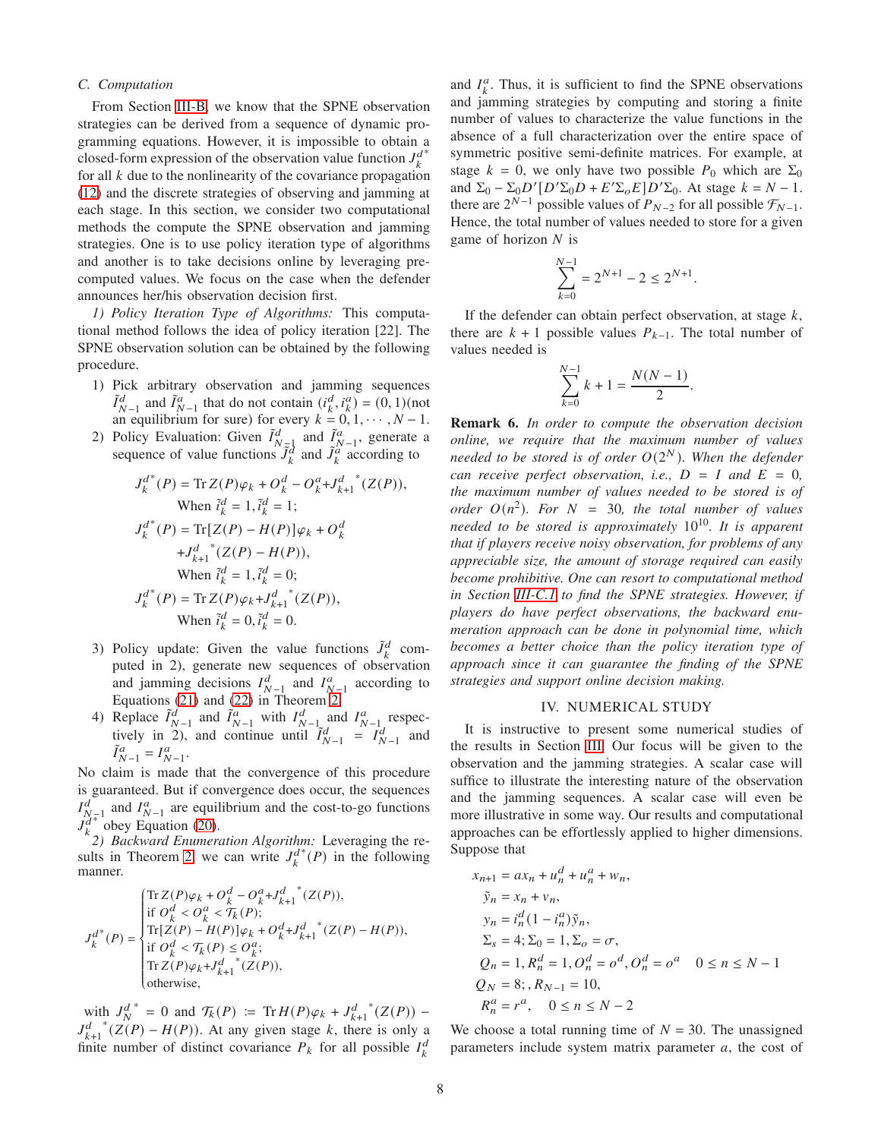## *C. Computation*

From Section [III-B,](#page-4-0) we know that the SPNE observation strategies can be derived from a sequence of dynamic programming equations. However, it is impossible to obtain a closed-form expression of the observation value function  $J_k^d$ ∗ for all  $k$  due to the nonlinearity of the covariance propagation [\(12\)](#page-3-3) and the discrete strategies of observing and jamming at each stage. In this section, we consider two computational methods the compute the SPNE observation and jamming strategies. One is to use policy iteration type of algorithms and another is to take decisions online by leveraging precomputed values. We focus on the case when the defender announces her/his observation decision first.

<span id="page-7-1"></span>*1) Policy Iteration Type of Algorithms:* This computational method follows the idea of policy iteration [22]. The SPNE observation solution can be obtained by the following procedure.

- 1) Pick arbitrary observation and jamming sequences  $\tilde{I}_{N-1}^d$  and  $\tilde{I}_{N-1}^a$  that do not contain  $(i_k^d, i_k^a) = (0, 1)$  (not an equilibrium for sure) for every  $k = 0, 1, \dots, N - 1$ .
- 2) Policy Evaluation: Given  $\tilde{I}^d_{N-1}$  and  $\tilde{I}^a_{N-1}$ , generate a sequence of value functions  $\tilde{J}_k^d$  and  $\tilde{J}_k^a$  according to

$$
J_k^{d^*}(P) = \text{Tr}\,Z(P)\varphi_k + O_k^d - O_k^a + J_{k+1}^{d^*}(Z(P)),
$$
  
When  $\tilde{i}_k^d = 1, \tilde{i}_k^d = 1$ ;  

$$
J_k^{d^*}(P) = \text{Tr}[Z(P) - H(P)]\varphi_k + O_k^d
$$

$$
+J_{k+1}^{d^*}(Z(P) - H(P)),
$$
  
When  $\tilde{i}_k^d = 1, \tilde{i}_k^d = 0$ ;  

$$
J_k^{d^*}(P) = \text{Tr}\,Z(P)\varphi_k + J_{k+1}^{d^*}(Z(P)),
$$
  
When  $\tilde{i}_k^d = 0, \tilde{i}_k^d = 0$ .

- 3) Policy update: Given the value functions  $\tilde{J}_k^d$  computed in 2), generate new sequences of observation and jamming decisions  $I_{N-1}^d$  and  $I_{N-1}^a$  according to Equations [\(21\)](#page-5-4) and [\(22\)](#page-5-5) in Theorem [2.](#page-5-6)
- 4) Replace  $\tilde{I}_{N-1}^d$  and  $\tilde{I}_{N-1}^a$  with  $I_{N-1}^d$  and  $I_{N-1}^a$  respectively in 2), and continue until  $\tilde{I}_{N-1}^d = I_{N-1}^d$  and  $\tilde{I}_{N-1}^a = I_{N-1}^a$ .

No claim is made that the convergence of this procedure is guaranteed. But if convergence does occur, the sequences  $I_{N-1}^d$  and  $I_{N-1}^a$  are equilibrium and the cost-to-go functions  $J_k^{N-1}$  obey Equation [\(20\)](#page-5-3).

 $\chi^2$  bocy Equation (20).<br>
<sup>2</sup>) *Backward Enumeration Algorithm:* Leveraging the re-sults in Theorem [2,](#page-5-6) we can write  $J_k^d$  $*(P)$  in the following manner.

$$
J_k^{d^*}(P) = \begin{cases} \operatorname{Tr} Z(P) \varphi_k + O_k^d - {O_k^a} + {J_{k+1}^d}^*(Z(P)), \\ \text{if } O_k^d < O_k^a < \mathcal{T}_k(P); \\ \operatorname{Tr}[Z(P) - H(P)] \varphi_k + {O_k^d} + {J_{k+1}^d}^*(Z(P) - H(P)), \\ \text{if } O_k^d < \mathcal{T}_k(P) \leq O_k^a; \\ \operatorname{Tr} Z(P) \varphi_k + {J_{k+1}^d}^*(Z(P)), \\ \text{otherwise}, \end{cases}
$$

with  $J_N^d$ \* = 0 and  $\mathcal{T}_k(P) := \text{Tr} H(P) \varphi_k + J_{k+1}^d$  $*(Z(P)) J_{k+1}^d$  $*(Z(P) - H(P))$ . At any given stage k, there is only a finite number of distinct covariance  $P_k$  for all possible  $I_k^d$ 

and  $I_k^a$ . Thus, it is sufficient to find the SPNE observations and jamming strategies by computing and storing a finite number of values to characterize the value functions in the absence of a full characterization over the entire space of symmetric positive semi-definite matrices. For example, at stage  $k = 0$ , we only have two possible  $P_0$  which are  $\Sigma_0$ and  $\Sigma_0 - \Sigma_0 D' [D' \Sigma_0 D + E' \Sigma_0 E] D' \Sigma_0$ . At stage  $k = N - 1$ . there are  $2^{N-1}$  possible values of  $P_{N-2}$  for all possible  $\mathcal{F}_{N-1}$ . Hence, the total number of values needed to store for a given game of horizon  $N$  is

$$
\sum_{k=0}^{N-1} = 2^{N+1} - 2 \le 2^{N+1}.
$$

If the defender can obtain perfect observation, at stage  $k$ , there are  $k + 1$  possible values  $P_{k-1}$ . The total number of values needed is

$$
\sum_{k=0}^{N-1} k + 1 = \frac{N(N-1)}{2}.
$$

Remark 6. *In order to compute the observation decision online, we require that the maximum number of values needed to be stored is of order* 𝑂(2 <sup>𝑁</sup> )*. When the defender can receive perfect observation, i.e.,*  $D = I$  *and*  $E = 0$ *, the maximum number of values needed to be stored is of*  $order\ O(n^2)$ . For  $N = 30$ , the total number of values *needed to be stored is approximately*  $10^{10}$ *. It is apparent that if players receive noisy observation, for problems of any appreciable size, the amount of storage required can easily become prohibitive. One can resort to computational method in Section [III-C.1](#page-7-1) to find the SPNE strategies. However, if players do have perfect observations, the backward enumeration approach can be done in polynomial time, which becomes a better choice than the policy iteration type of approach since it can guarantee the finding of the SPNE strategies and support online decision making.*

### IV. NUMERICAL STUDY

<span id="page-7-0"></span>It is instructive to present some numerical studies of the results in Section [III.](#page-2-1) Our focus will be given to the observation and the jamming strategies. A scalar case will suffice to illustrate the interesting nature of the observation and the jamming sequences. A scalar case will even be more illustrative in some way. Our results and computational approaches can be effortlessly applied to higher dimensions. Suppose that

$$
x_{n+1} = ax_n + u_n^d + u_n^a + w_n,
$$
  
\n
$$
\tilde{y}_n = x_n + v_n,
$$
  
\n
$$
y_n = i_n^d (1 - i_n^a) \tilde{y}_n,
$$
  
\n
$$
\Sigma_s = 4; \Sigma_0 = 1, \Sigma_o = \sigma,
$$
  
\n
$$
Q_n = 1, R_n^d = 1, O_n^d = o^d, O_n^d = o^a \quad 0 \le n \le N - 1
$$
  
\n
$$
Q_N = 8; R_{N-1} = 10,
$$
  
\n
$$
R_n^a = r^a, \quad 0 \le n \le N - 2
$$

We choose a total running time of  $N = 30$ . The unassigned parameters include system matrix parameter  $a$ , the cost of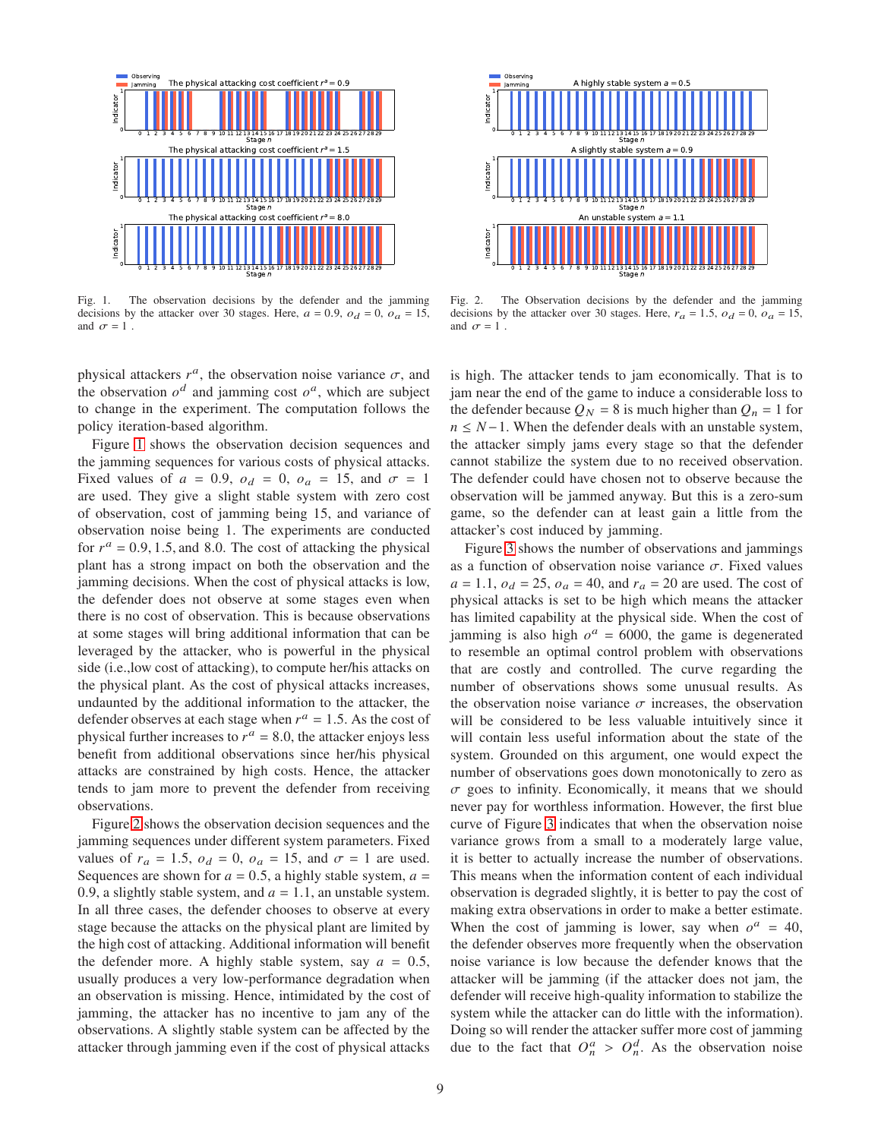

<span id="page-8-0"></span>Fig. 1. The observation decisions by the defender and the jamming decisions by the attacker over 30 stages. Here,  $a = 0.9$ ,  $o_d = 0$ ,  $o_a = 15$ , and  $\sigma = 1$ .

physical attackers  $r^a$ , the observation noise variance  $\sigma$ , and the observation  $o^d$  and jamming cost  $o^d$ , which are subject to change in the experiment. The computation follows the policy iteration-based algorithm.

Figure [1](#page-8-0) shows the observation decision sequences and the jamming sequences for various costs of physical attacks. Fixed values of  $a = 0.9$ ,  $o_d = 0$ ,  $o_a = 15$ , and  $\sigma = 1$ are used. They give a slight stable system with zero cost of observation, cost of jamming being 15, and variance of observation noise being 1. The experiments are conducted for  $r^a = 0.9, 1.5,$  and 8.0. The cost of attacking the physical plant has a strong impact on both the observation and the jamming decisions. When the cost of physical attacks is low, the defender does not observe at some stages even when there is no cost of observation. This is because observations at some stages will bring additional information that can be leveraged by the attacker, who is powerful in the physical side (i.e.,low cost of attacking), to compute her/his attacks on the physical plant. As the cost of physical attacks increases, undaunted by the additional information to the attacker, the defender observes at each stage when  $r^a = 1.5$ . As the cost of physical further increases to  $r^a = 8.0$ , the attacker enjoys less benefit from additional observations since her/his physical attacks are constrained by high costs. Hence, the attacker tends to jam more to prevent the defender from receiving observations.

Figure [2](#page-8-1) shows the observation decision sequences and the jamming sequences under different system parameters. Fixed values of  $r_a = 1.5$ ,  $o_d = 0$ ,  $o_a = 15$ , and  $\sigma = 1$  are used. Sequences are shown for  $a = 0.5$ , a highly stable system,  $a =$ 0.9, a slightly stable system, and  $a = 1.1$ , an unstable system. In all three cases, the defender chooses to observe at every stage because the attacks on the physical plant are limited by the high cost of attacking. Additional information will benefit the defender more. A highly stable system, say  $a = 0.5$ , usually produces a very low-performance degradation when an observation is missing. Hence, intimidated by the cost of jamming, the attacker has no incentive to jam any of the observations. A slightly stable system can be affected by the attacker through jamming even if the cost of physical attacks



<span id="page-8-1"></span>Fig. 2. The Observation decisions by the defender and the jamming decisions by the attacker over 30 stages. Here,  $r_a = 1.5$ ,  $o_d = 0$ ,  $o_a = 15$ , and  $\sigma = 1$ .

is high. The attacker tends to jam economically. That is to jam near the end of the game to induce a considerable loss to the defender because  $Q_N = 8$  is much higher than  $Q_n = 1$  for  $n \leq N-1$ . When the defender deals with an unstable system, the attacker simply jams every stage so that the defender cannot stabilize the system due to no received observation. The defender could have chosen not to observe because the observation will be jammed anyway. But this is a zero-sum game, so the defender can at least gain a little from the attacker's cost induced by jamming.

Figure [3](#page-9-0) shows the number of observations and jammings as a function of observation noise variance  $\sigma$ . Fixed values  $a = 1.1$ ,  $o_d = 25$ ,  $o_a = 40$ , and  $r_a = 20$  are used. The cost of physical attacks is set to be high which means the attacker has limited capability at the physical side. When the cost of jamming is also high  $o^a = 6000$ , the game is degenerated to resemble an optimal control problem with observations that are costly and controlled. The curve regarding the number of observations shows some unusual results. As the observation noise variance  $\sigma$  increases, the observation will be considered to be less valuable intuitively since it will contain less useful information about the state of the system. Grounded on this argument, one would expect the number of observations goes down monotonically to zero as  $\sigma$  goes to infinity. Economically, it means that we should never pay for worthless information. However, the first blue curve of Figure [3](#page-9-0) indicates that when the observation noise variance grows from a small to a moderately large value, it is better to actually increase the number of observations. This means when the information content of each individual observation is degraded slightly, it is better to pay the cost of making extra observations in order to make a better estimate. When the cost of jamming is lower, say when  $o^a = 40$ , the defender observes more frequently when the observation noise variance is low because the defender knows that the attacker will be jamming (if the attacker does not jam, the defender will receive high-quality information to stabilize the system while the attacker can do little with the information). Doing so will render the attacker suffer more cost of jamming due to the fact that  $O_n^a > O_n^d$ . As the observation noise